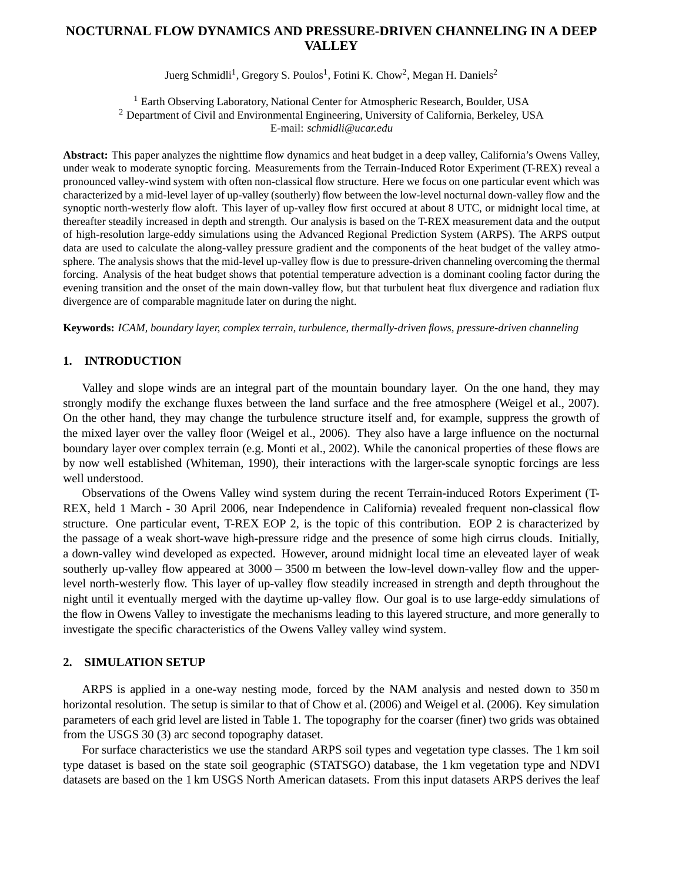# **NOCTURNAL FLOW DYNAMICS AND PRESSURE-DRIVEN CHANNELING IN A DEEP VALLEY**

Juerg Schmidli<sup>1</sup>, Gregory S. Poulos<sup>1</sup>, Fotini K. Chow<sup>2</sup>, Megan H. Daniels<sup>2</sup>

<sup>1</sup> Earth Observing Laboratory, National Center for Atmospheric Research, Boulder, USA <sup>2</sup> Department of Civil and Environmental Engineering, University of California, Berkeley, USA E-mail: *schmidli@ucar.edu*

**Abstract:** This paper analyzes the nighttime flow dynamics and heat budget in a deep valley, California's Owens Valley, under weak to moderate synoptic forcing. Measurements from the Terrain-Induced Rotor Experiment (T-REX) reveal a pronounced valley-wind system with often non-classical flow structure. Here we focus on one particular event which was characterized by a mid-level layer of up-valley (southerly) flow between the low-level nocturnal down-valley flow and the synoptic north-westerly flow aloft. This layer of up-valley flow first occured at about 8 UTC, or midnight local time, at thereafter steadily increased in depth and strength. Our analysis is based on the T-REX measurement data and the output of high-resolution large-eddy simulations using the Advanced Regional Prediction System (ARPS). The ARPS output data are used to calculate the along-valley pressure gradient and the components of the heat budget of the valley atmosphere. The analysis shows that the mid-level up-valley flow is due to pressure-driven channeling overcoming the thermal forcing. Analysis of the heat budget shows that potential temperature advection is a dominant cooling factor during the evening transition and the onset of the main down-valley flow, but that turbulent heat flux divergence and radiation flux divergence are of comparable magnitude later on during the night.

**Keywords:** *ICAM, boundary layer, complex terrain, turbulence, thermally-driven flows, pressure-driven channeling*

## **1. INTRODUCTION**

Valley and slope winds are an integral part of the mountain boundary layer. On the one hand, they may strongly modify the exchange fluxes between the land surface and the free atmosphere (Weigel et al., 2007). On the other hand, they may change the turbulence structure itself and, for example, suppress the growth of the mixed layer over the valley floor (Weigel et al., 2006). They also have a large influence on the nocturnal boundary layer over complex terrain (e.g. Monti et al., 2002). While the canonical properties of these flows are by now well established (Whiteman, 1990), their interactions with the larger-scale synoptic forcings are less well understood.

Observations of the Owens Valley wind system during the recent Terrain-induced Rotors Experiment (T-REX, held 1 March - 30 April 2006, near Independence in California) revealed frequent non-classical flow structure. One particular event, T-REX EOP 2, is the topic of this contribution. EOP 2 is characterized by the passage of a weak short-wave high-pressure ridge and the presence of some high cirrus clouds. Initially, a down-valley wind developed as expected. However, around midnight local time an eleveated layer of weak southerly up-valley flow appeared at 3000 − 3500 m between the low-level down-valley flow and the upperlevel north-westerly flow. This layer of up-valley flow steadily increased in strength and depth throughout the night until it eventually merged with the daytime up-valley flow. Our goal is to use large-eddy simulations of the flow in Owens Valley to investigate the mechanisms leading to this layered structure, and more generally to investigate the specific characteristics of the Owens Valley valley wind system.

### **2. SIMULATION SETUP**

ARPS is applied in a one-way nesting mode, forced by the NAM analysis and nested down to 350 m horizontal resolution. The setup is similar to that of Chow et al. (2006) and Weigel et al. (2006). Key simulation parameters of each grid level are listed in Table 1. The topography for the coarser (finer) two grids was obtained from the USGS 30 (3) arc second topography dataset.

For surface characteristics we use the standard ARPS soil types and vegetation type classes. The 1 km soil type dataset is based on the state soil geographic (STATSGO) database, the 1 km vegetation type and NDVI datasets are based on the 1 km USGS North American datasets. From this input datasets ARPS derives the leaf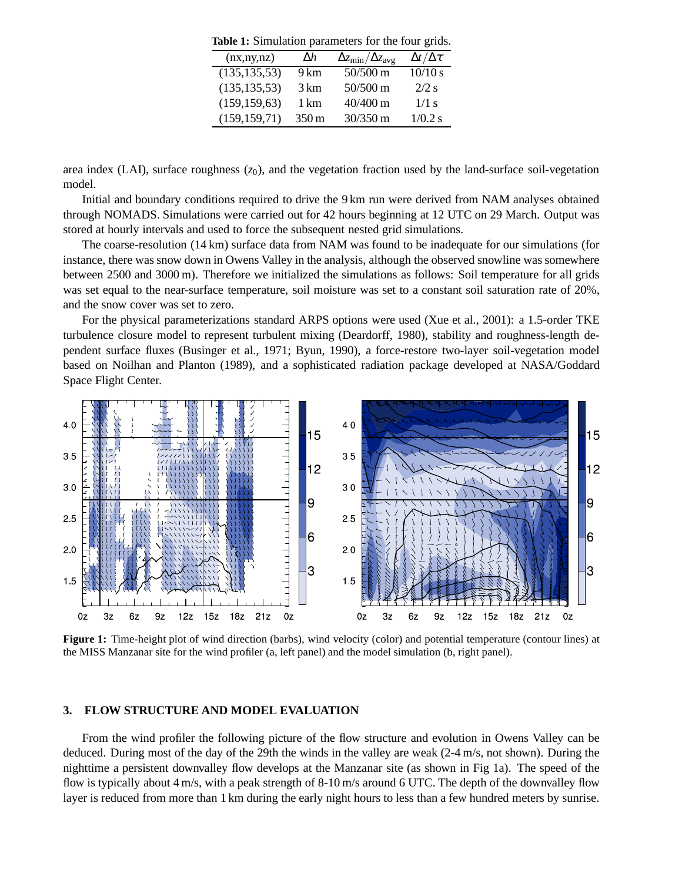**Table 1:** Simulation parameters for the four grids.

| (nx, ny, nz)   | $\Delta h$         | $\Delta z_{\rm min}/\Delta z_{\rm avg}$ | $\Delta t/\Delta \tau$ |
|----------------|--------------------|-----------------------------------------|------------------------|
| (135, 135, 53) | 9 km               | 50/500 m                                | 10/10 s                |
| (135, 135, 53) | 3 km               | 50/500 m                                | $2/2$ s                |
| (159, 159, 63) | 1 km               | 40/400 m                                | $1/1$ s                |
| (159, 159, 71) | $350 \,\mathrm{m}$ | 30/350 m                                | 1/0.2 s                |

area index (LAI), surface roughness  $(z_0)$ , and the vegetation fraction used by the land-surface soil-vegetation model.

Initial and boundary conditions required to drive the 9 km run were derived from NAM analyses obtained through NOMADS. Simulations were carried out for 42 hours beginning at 12 UTC on 29 March. Output was stored at hourly intervals and used to force the subsequent nested grid simulations.

The coarse-resolution (14 km) surface data from NAM was found to be inadequate for our simulations (for instance, there was snow down in Owens Valley in the analysis, although the observed snowline was somewhere between 2500 and 3000 m). Therefore we initialized the simulations as follows: Soil temperature for all grids was set equal to the near-surface temperature, soil moisture was set to a constant soil saturation rate of 20%, and the snow cover was set to zero.

For the physical parameterizations standard ARPS options were used (Xue et al., 2001): a 1.5-order TKE turbulence closure model to represent turbulent mixing (Deardorff, 1980), stability and roughness-length dependent surface fluxes (Businger et al., 1971; Byun, 1990), a force-restore two-layer soil-vegetation model based on Noilhan and Planton (1989), and a sophisticated radiation package developed at NASA/Goddard Space Flight Center.



**Figure 1:** Time-height plot of wind direction (barbs), wind velocity (color) and potential temperature (contour lines) at the MISS Manzanar site for the wind profiler (a, left panel) and the model simulation (b, right panel).

#### **3. FLOW STRUCTURE AND MODEL EVALUATION**

From the wind profiler the following picture of the flow structure and evolution in Owens Valley can be deduced. During most of the day of the 29th the winds in the valley are weak (2-4 m/s, not shown). During the nighttime a persistent downvalley flow develops at the Manzanar site (as shown in Fig 1a). The speed of the flow is typically about 4 m/s, with a peak strength of 8-10 m/s around 6 UTC. The depth of the downvalley flow layer is reduced from more than 1 km during the early night hours to less than a few hundred meters by sunrise.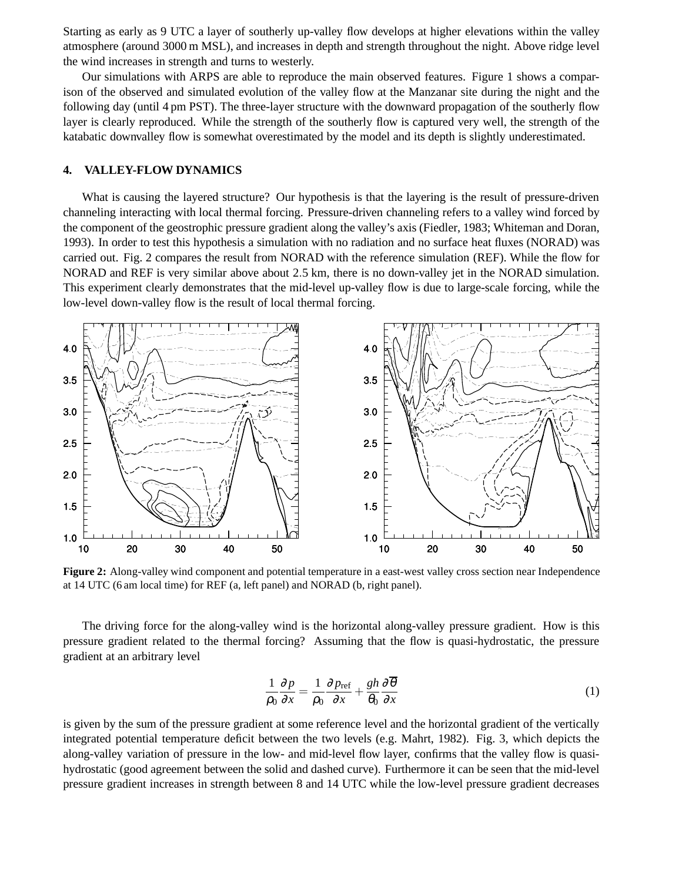Starting as early as 9 UTC a layer of southerly up-valley flow develops at higher elevations within the valley atmosphere (around 3000 m MSL), and increases in depth and strength throughout the night. Above ridge level the wind increases in strength and turns to westerly.

Our simulations with ARPS are able to reproduce the main observed features. Figure 1 shows a comparison of the observed and simulated evolution of the valley flow at the Manzanar site during the night and the following day (until 4 pm PST). The three-layer structure with the downward propagation of the southerly flow layer is clearly reproduced. While the strength of the southerly flow is captured very well, the strength of the katabatic downvalley flow is somewhat overestimated by the model and its depth is slightly underestimated.

#### **4. VALLEY-FLOW DYNAMICS**

What is causing the layered structure? Our hypothesis is that the layering is the result of pressure-driven channeling interacting with local thermal forcing. Pressure-driven channeling refers to a valley wind forced by the component of the geostrophic pressure gradient along the valley's axis (Fiedler, 1983; Whiteman and Doran, 1993). In order to test this hypothesis a simulation with no radiation and no surface heat fluxes (NORAD) was carried out. Fig. 2 compares the result from NORAD with the reference simulation (REF). While the flow for NORAD and REF is very similar above about 2.5 km, there is no down-valley jet in the NORAD simulation. This experiment clearly demonstrates that the mid-level up-valley flow is due to large-scale forcing, while the low-level down-valley flow is the result of local thermal forcing.



**Figure 2:** Along-valley wind component and potential temperature in a east-west valley cross section near Independence at 14 UTC (6 am local time) for REF (a, left panel) and NORAD (b, right panel).

The driving force for the along-valley wind is the horizontal along-valley pressure gradient. How is this pressure gradient related to the thermal forcing? Assuming that the flow is quasi-hydrostatic, the pressure gradient at an arbitrary level

$$
\frac{1}{\rho_0} \frac{\partial p}{\partial x} = \frac{1}{\rho_0} \frac{\partial p_{\text{ref}}}{\partial x} + \frac{gh}{\theta_0} \frac{\partial \overline{\theta}}{\partial x}
$$
(1)

is given by the sum of the pressure gradient at some reference level and the horizontal gradient of the vertically integrated potential temperature deficit between the two levels (e.g. Mahrt, 1982). Fig. 3, which depicts the along-valley variation of pressure in the low- and mid-level flow layer, confirms that the valley flow is quasihydrostatic (good agreement between the solid and dashed curve). Furthermore it can be seen that the mid-level pressure gradient increases in strength between 8 and 14 UTC while the low-level pressure gradient decreases